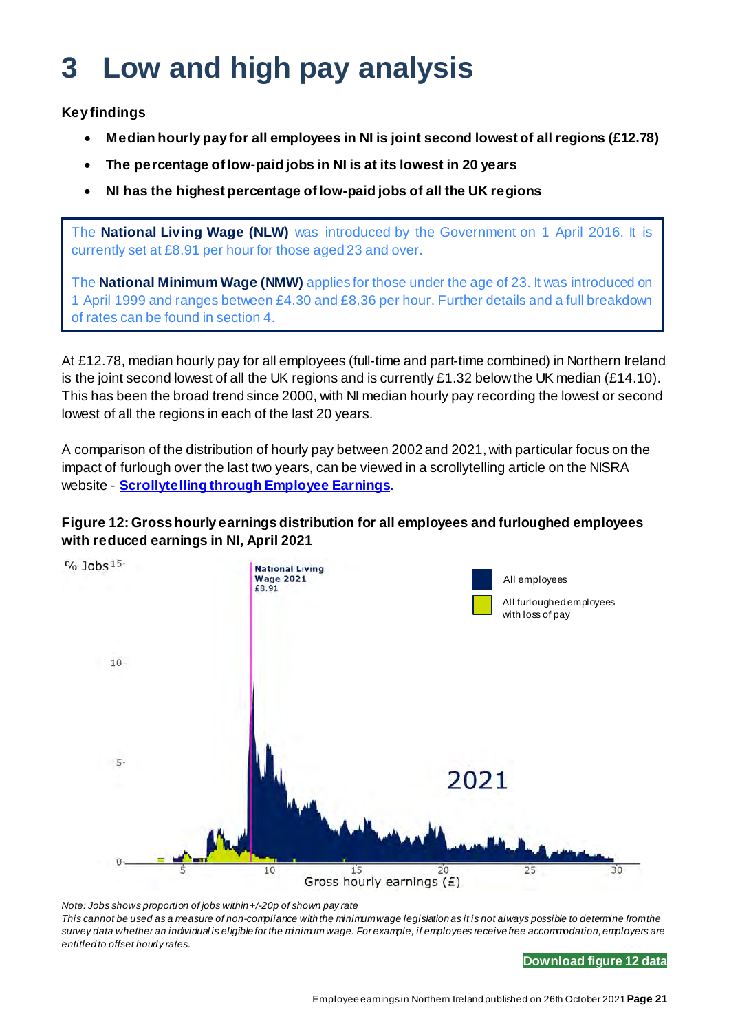# **3 Low and high pay analysis**

**Key findings**

- **Median hourly pay for all employees in NI is joint second lowest of all regions (£12.78)**
- **The percentage of low-paid jobs in NI is at its lowest in 20 years**
- **NI has the highest percentage of low-paid jobs of all the UK regions**

The **National Living Wage (NLW)** was introduced by the Government on 1 April 2016. It is currently set at £8.91 per hour for those aged 23 and over.

The **National Minimum Wage (NMW)** applies for those under the age of 23. It was introduced on 1 April 1999 and ranges between £4.30 and £8.36 per hour. Further details and a full breakdown of rates can be found in section 4.

At £12.78, median hourly pay for all employees (full-time and part-time combined) in Northern Ireland is the joint second lowest of all the UK regions and is currently £1.32 below the UK median (£14.10). This has been the broad trend since 2000, with NI median hourly pay recording the lowest or second lowest of all the regions in each of the last 20 years.

A comparison of the distribution of hourly pay between 2002 and 2021, with particular focus on the impact of furlough over the last two years, can be viewed in a scrollytelling article on the NISRA website - **[Scrollytelling through Employee Earnings.](https://nisravis.shinyapps.io/ni_earnings_distribution_2021/)** 

## **Figure 12: Gross hourly earnings distribution for all employees and furloughed employees with reduced earnings in NI, April 2021**



*Note: Jobs shows proportion of jobs within +/-20p of shown pay rate This cannot be used as a measure of non-compliance with the minimum wage legislation as it is not always possible to determine from the survey data whether an individual is eligible for the minimum wage. For example, if employees receive free accommodation, employers are entitled to offset hourly rates.*

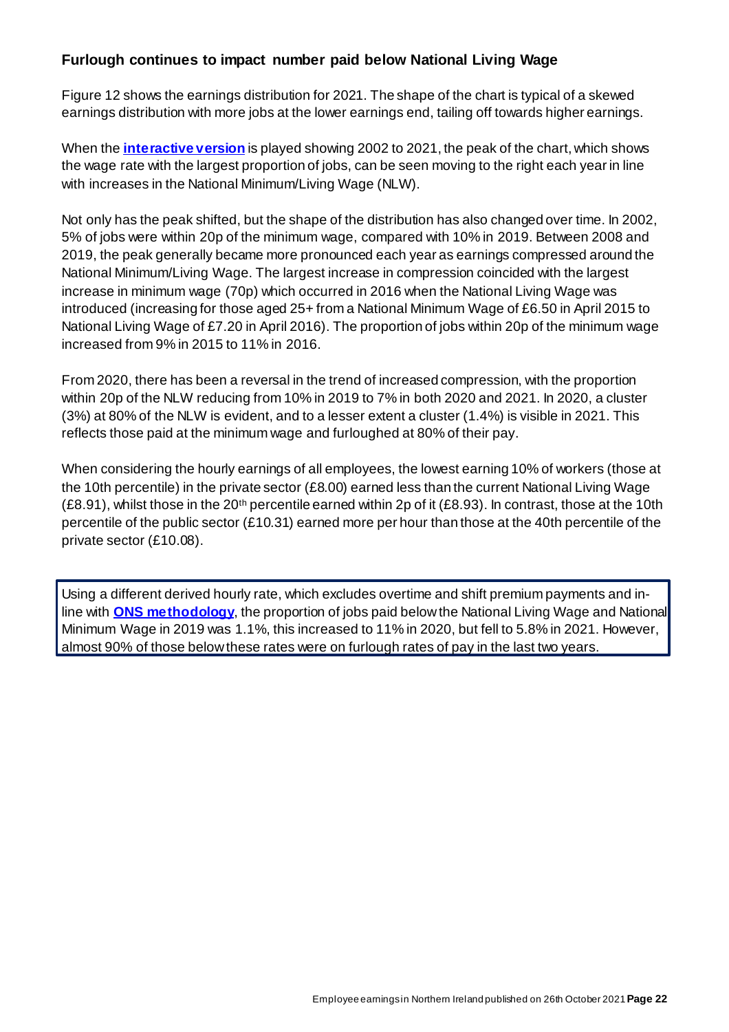# **Furlough continues to impact number paid below National Living Wage**

Figure 12 shows the earnings distribution for 2021. The shape of the chart is typical of a skewed earnings distribution with more jobs at the lower earnings end, tailing off towards higher earnings.

When the **[interactive version](https://nisravis.shinyapps.io/ni_earnings_distribution_2021/)** is played showing 2002 to 2021, the peak of the chart, which shows the wage rate with the largest proportion of jobs, can be seen moving to the right each year in line with increases in the National Minimum/Living Wage (NLW).

Not only has the peak shifted, but the shape of the distribution has also changed over time. In 2002, 5% of jobs were within 20p of the minimum wage, compared with 10% in 2019. Between 2008 and 2019, the peak generally became more pronounced each year as earnings compressed around the National Minimum/Living Wage. The largest increase in compression coincided with the largest increase in minimum wage (70p) which occurred in 2016 when the National Living Wage was introduced (increasing for those aged 25+ from a National Minimum Wage of £6.50 in April 2015 to National Living Wage of £7.20 in April 2016). The proportion of jobs within 20p of the minimum wage increased from 9% in 2015 to 11% in 2016.

From 2020, there has been a reversal in the trend of increased compression, with the proportion within 20p of the NLW reducing from 10% in 2019 to 7% in both 2020 and 2021. In 2020, a cluster (3%) at 80% of the NLW is evident, and to a lesser extent a cluster (1.4%) is visible in 2021. This reflects those paid at the minimum wage and furloughed at 80% of their pay.

When considering the hourly earnings of all employees, the lowest earning 10% of workers (those at the 10th percentile) in the private sector (£8.00) earned less than the current National Living Wage (£8.91), whilst those in the 20<sup>th</sup> percentile earned within 2p of it (£8.93). In contrast, those at the 10th percentile of the public sector (£10.31) earned more per hour than those at the 40th percentile of the private sector (£10.08).

Using a different derived hourly rate, which excludes overtime and shift premium payments and inline with **[ONS methodology](https://webarchive.nationalarchives.gov.uk/20160106013406/http:/www.ons.gov.uk/ons/guide-method/method-quality/specific/labour-market/annual-survey-of-hours-and-earnings/low-pay-estimates/index.html)**, the proportion of jobs paid below the National Living Wage and National Minimum Wage in 2019 was 1.1%, this increased to 11% in 2020, but fell to 5.8% in 2021. However, almost 90% of those below these rates were on furlough rates of pay in the last two years.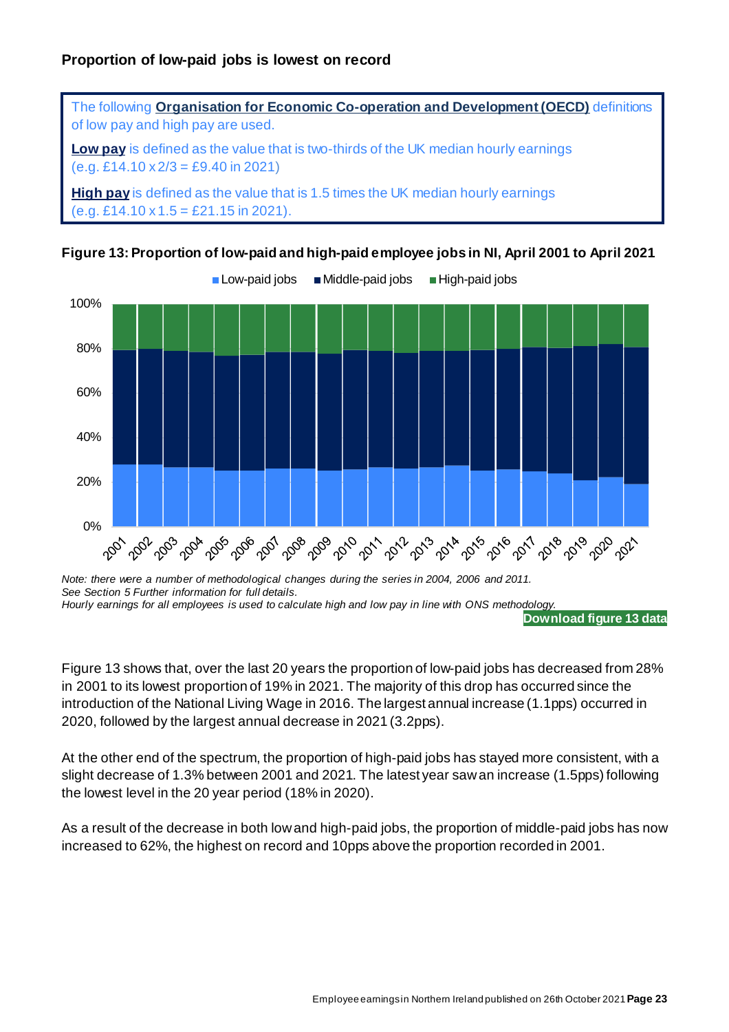





*Note: there were a number of methodological changes during the series in 2004, 2006 and 2011. See Section 5 Further information for full details. Hourly earnings for all employees is used to calculate high and low pay in line with ONS methodology.*

**[Download figure 13 data](https://www.nisra.gov.uk/system/files/statistics/ASHE2021F13.xlsx)**

Figure 13 shows that, over the last 20 years the proportion of low-paid jobs has decreased from 28% in 2001 to its lowest proportion of 19% in 2021. The majority of this drop has occurred since the introduction of the National Living Wage in 2016. The largest annual increase (1.1pps) occurred in 2020, followed by the largest annual decrease in 2021 (3.2pps).

At the other end of the spectrum, the proportion of high-paid jobs has stayed more consistent, with a slight decrease of 1.3% between 2001 and 2021. The latest year saw an increase (1.5pps) following the lowest level in the 20 year period (18% in 2020).

As a result of the decrease in both low and high-paid jobs, the proportion of middle-paid jobs has now increased to 62%, the highest on record and 10pps above the proportion recorded in 2001.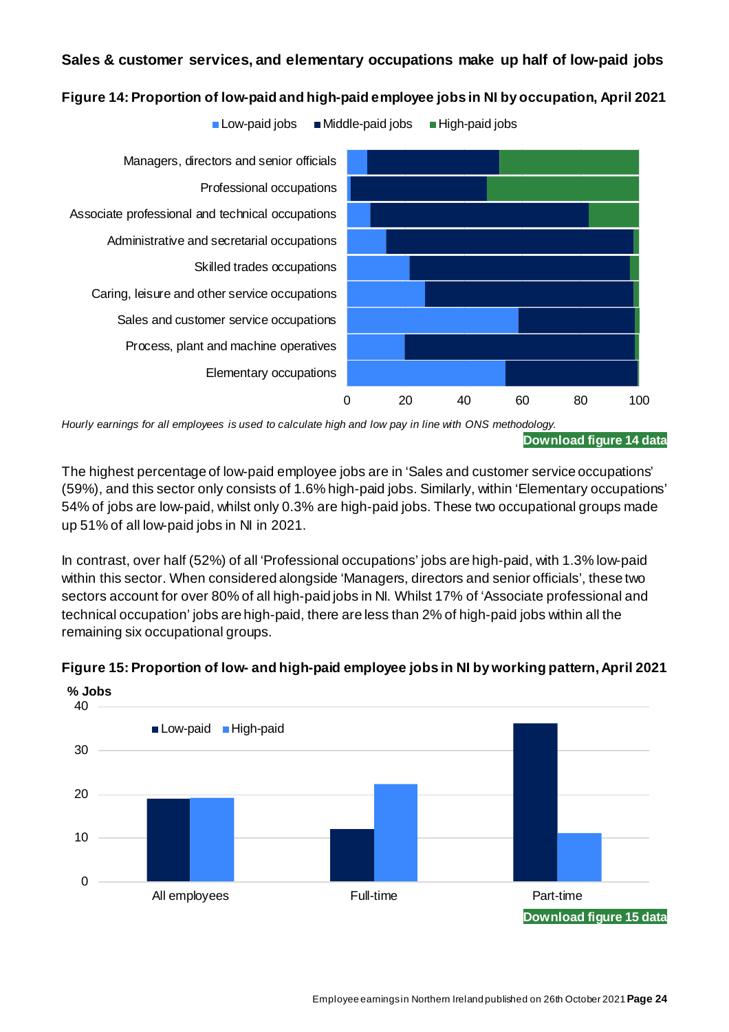## **Sales & customer services, and elementary occupations make up half of low-paid jobs**



**Figure 14: Proportion of low-paid and high-paid employee jobs in NI by occupation, April 2021**

*Hourly earnings for all employees is used to calculate high and low pay in line with ONS methodology.*

The highest percentage of low-paid employee jobs are in 'Sales and customer service occupations' (59%), and this sector only consists of 1.6% high-paid jobs. Similarly, within 'Elementary occupations' 54% of jobs are low-paid, whilst only 0.3% are high-paid jobs. These two occupational groups made up 51% of all low-paid jobs in NI in 2021.

In contrast, over half (52%) of all 'Professional occupations' jobs are high-paid, with 1.3% low-paid within this sector. When considered alongside 'Managers, directors and senior officials', these two sectors account for over 80% of all high-paid jobs in NI. Whilst 17% of 'Associate professional and technical occupation' jobs are high-paid, there are less than 2% of high-paid jobs within all the remaining six occupational groups.



#### **Figure 15: Proportion of low- and high-paid employee jobs in NI by working pattern, April 2021**

**[Download figure 14 data](https://www.nisra.gov.uk/system/files/statistics/ASHE2021F14.xlsx)**